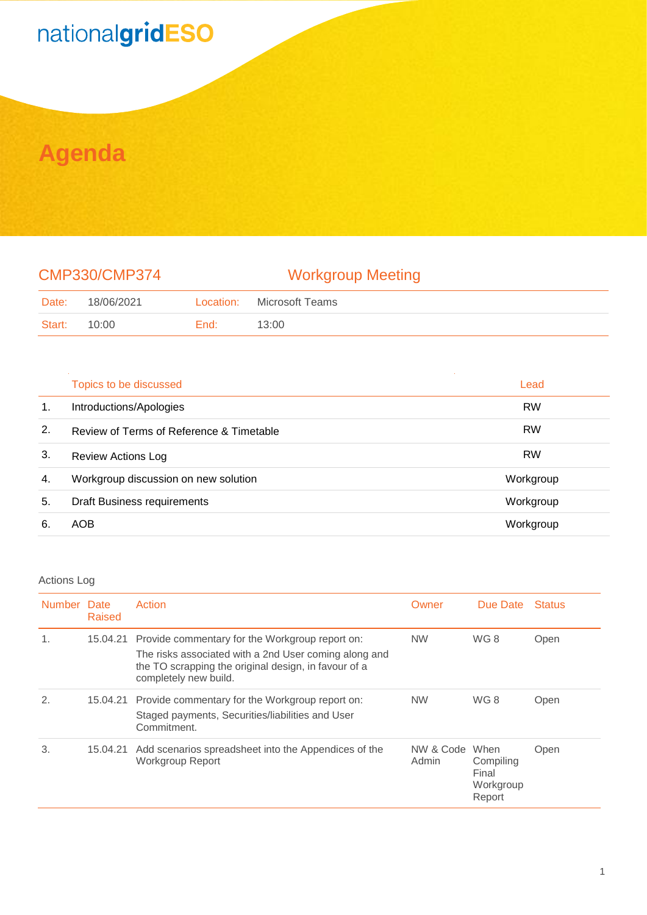# nationalgridESO

## **Agenda**

### CMP330/CMP374 Workgroup Meeting

| Date:  | 18/06/2021 | Location: | Microsoft Teams |
|--------|------------|-----------|-----------------|
| Start: | 10:00      | End:      | 13:00           |

|    | Topics to be discussed                   | Lead      |
|----|------------------------------------------|-----------|
| 1. | Introductions/Apologies                  | <b>RW</b> |
| 2. | Review of Terms of Reference & Timetable | <b>RW</b> |
| 3. | <b>Review Actions Log</b>                | <b>RW</b> |
| 4. | Workgroup discussion on new solution     | Workgroup |
| 5. | <b>Draft Business requirements</b>       | Workgroup |
| 6. | AOB                                      | Workgroup |

### Actions Log

| Number Date | Raised   | Action                                                                                                                                                                                    | Owner                   | Due Date                                  | <b>Status</b> |
|-------------|----------|-------------------------------------------------------------------------------------------------------------------------------------------------------------------------------------------|-------------------------|-------------------------------------------|---------------|
|             | 15.04.21 | Provide commentary for the Workgroup report on:<br>The risks associated with a 2nd User coming along and<br>the TO scrapping the original design, in favour of a<br>completely new build. | <b>NW</b>               | WG8                                       | Open          |
| 2.          |          | 15.04.21 Provide commentary for the Workgroup report on:<br>Staged payments, Securities/liabilities and User<br>Commitment.                                                               | <b>NW</b>               | WG 8                                      | Open          |
| 3.          | 15.04.21 | Add scenarios spreadsheet into the Appendices of the<br>Workgroup Report                                                                                                                  | NW & Code When<br>Admin | Compiling<br>Final<br>Workgroup<br>Report | Open          |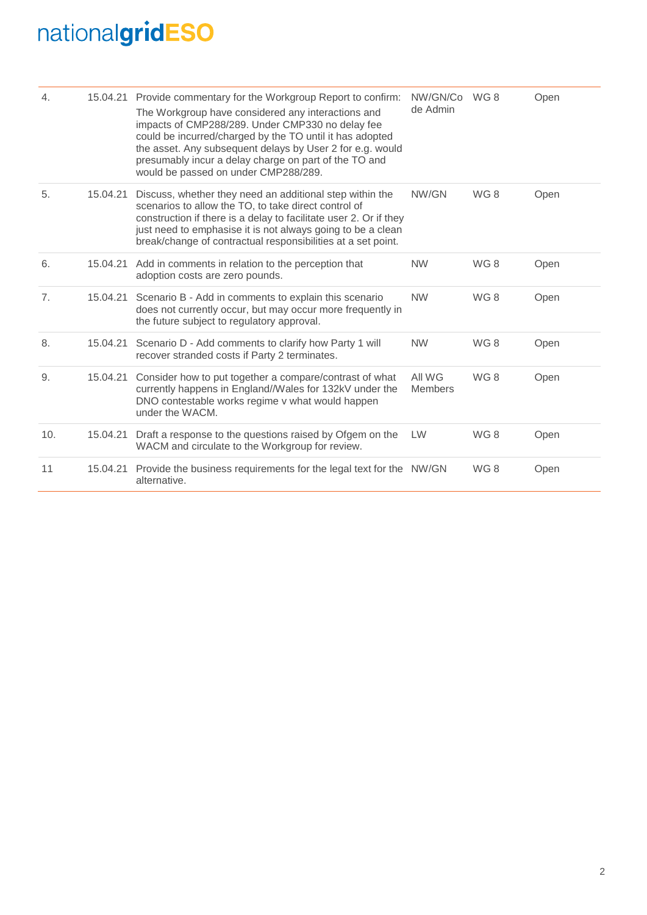# nationalgridESO

| 4.  |          | 15.04.21 Provide commentary for the Workgroup Report to confirm:<br>The Workgroup have considered any interactions and<br>impacts of CMP288/289. Under CMP330 no delay fee<br>could be incurred/charged by the TO until it has adopted<br>the asset. Any subsequent delays by User 2 for e.g. would<br>presumably incur a delay charge on part of the TO and<br>would be passed on under CMP288/289. | NW/GN/Co<br>de Admin     | WG8 | Open |
|-----|----------|------------------------------------------------------------------------------------------------------------------------------------------------------------------------------------------------------------------------------------------------------------------------------------------------------------------------------------------------------------------------------------------------------|--------------------------|-----|------|
| 5.  | 15.04.21 | Discuss, whether they need an additional step within the<br>scenarios to allow the TO, to take direct control of<br>construction if there is a delay to facilitate user 2. Or if they<br>just need to emphasise it is not always going to be a clean<br>break/change of contractual responsibilities at a set point.                                                                                 | NW/GN                    | WG8 | Open |
| 6.  | 15.04.21 | Add in comments in relation to the perception that<br>adoption costs are zero pounds.                                                                                                                                                                                                                                                                                                                | <b>NW</b>                | WG8 | Open |
| 7.  | 15.04.21 | Scenario B - Add in comments to explain this scenario<br>does not currently occur, but may occur more frequently in<br>the future subject to regulatory approval.                                                                                                                                                                                                                                    | <b>NW</b>                | WG8 | Open |
| 8.  | 15.04.21 | Scenario D - Add comments to clarify how Party 1 will<br>recover stranded costs if Party 2 terminates.                                                                                                                                                                                                                                                                                               | <b>NW</b>                | WG8 | Open |
| 9.  | 15.04.21 | Consider how to put together a compare/contrast of what<br>currently happens in England//Wales for 132kV under the<br>DNO contestable works regime v what would happen<br>under the WACM.                                                                                                                                                                                                            | All WG<br><b>Members</b> | WG8 | Open |
| 10. | 15.04.21 | Draft a response to the questions raised by Ofgem on the<br>WACM and circulate to the Workgroup for review.                                                                                                                                                                                                                                                                                          | <b>LW</b>                | WG8 | Open |
| 11  | 15.04.21 | Provide the business requirements for the legal text for the NW/GN<br>alternative.                                                                                                                                                                                                                                                                                                                   |                          | WG8 | Open |